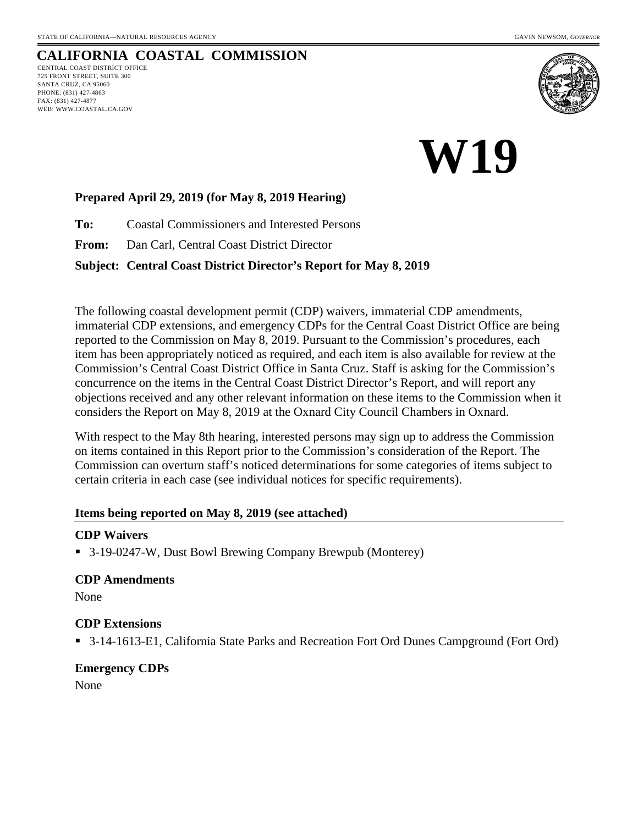#### **CALIFORNIA COASTAL COMMISSION** CENTRAL COAST DISTRICT OFFICE 725 FRONT STREET, SUITE 300 SANTA CRUZ, CA 95060 PHONE: (831) 427-4863 FAX: (831) 427-4877 WEB: WWW.COASTAL.CA.GOV



# **W19**

## **Prepared April 29, 2019 (for May 8, 2019 Hearing)**

**To:** Coastal Commissioners and Interested Persons

**From:** Dan Carl, Central Coast District Director

#### **Subject: Central Coast District Director's Report for May 8, 2019**

The following coastal development permit (CDP) waivers, immaterial CDP amendments, immaterial CDP extensions, and emergency CDPs for the Central Coast District Office are being reported to the Commission on May 8, 2019. Pursuant to the Commission's procedures, each item has been appropriately noticed as required, and each item is also available for review at the Commission's Central Coast District Office in Santa Cruz. Staff is asking for the Commission's concurrence on the items in the Central Coast District Director's Report, and will report any objections received and any other relevant information on these items to the Commission when it considers the Report on May 8, 2019 at the Oxnard City Council Chambers in Oxnard.

With respect to the May 8th hearing, interested persons may sign up to address the Commission on items contained in this Report prior to the Commission's consideration of the Report. The Commission can overturn staff's noticed determinations for some categories of items subject to certain criteria in each case (see individual notices for specific requirements).

#### **Items being reported on May 8, 2019 (see attached)**

#### **CDP Waivers**

■ 3-19-0247-W, Dust Bowl Brewing Company Brewpub (Monterey)

#### **CDP Amendments**

None

#### **CDP Extensions**

■ 3-14-1613-E1, California State Parks and Recreation Fort Ord Dunes Campground (Fort Ord)

## **Emergency CDPs**

None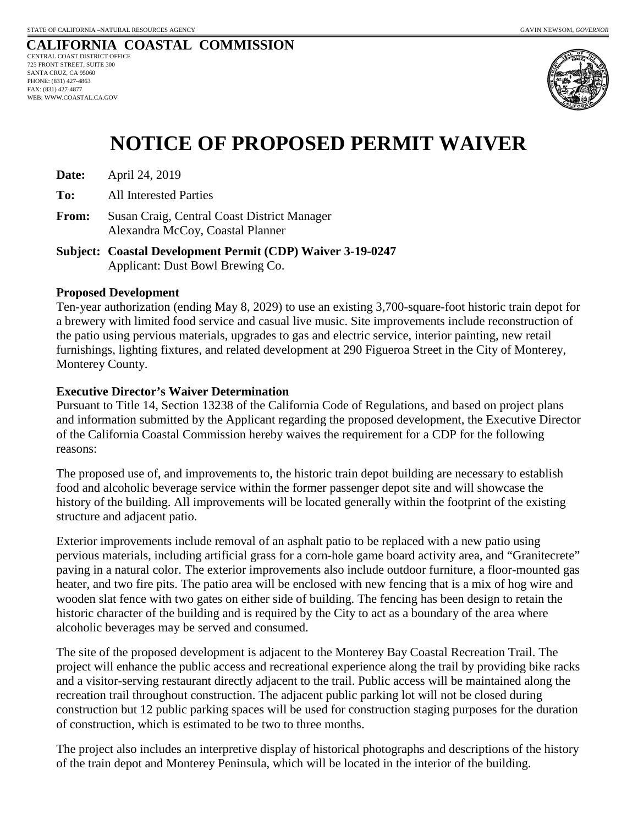#### **CALIFORNIA COASTAL COMMISSION** CENTRAL COAST DISTRICT OFFICE 725 FRONT STREET, SUITE 300 SANTA CRUZ, CA 95060 PHONE: (831) 427-4863 FAX: (831) 427-4877 WEB: WWW.COASTAL.CA.GOV



# **NOTICE OF PROPOSED PERMIT WAIVER**

**Date:** April 24, 2019

**To:** All Interested Parties

**From:** Susan Craig, Central Coast District Manager Alexandra McCoy, Coastal Planner

**Subject: Coastal Development Permit (CDP) Waiver 3-19-0247**  Applicant: Dust Bowl Brewing Co.

#### **Proposed Development**

Ten-year authorization (ending May 8, 2029) to use an existing 3,700-square-foot historic train depot for a brewery with limited food service and casual live music. Site improvements include reconstruction of the patio using pervious materials, upgrades to gas and electric service, interior painting, new retail furnishings, lighting fixtures, and related development at 290 Figueroa Street in the City of Monterey, Monterey County.

#### **Executive Director's Waiver Determination**

Pursuant to Title 14, Section 13238 of the California Code of Regulations, and based on project plans and information submitted by the Applicant regarding the proposed development, the Executive Director of the California Coastal Commission hereby waives the requirement for a CDP for the following reasons:

The proposed use of, and improvements to, the historic train depot building are necessary to establish food and alcoholic beverage service within the former passenger depot site and will showcase the history of the building. All improvements will be located generally within the footprint of the existing structure and adjacent patio.

Exterior improvements include removal of an asphalt patio to be replaced with a new patio using pervious materials, including artificial grass for a corn-hole game board activity area, and "Granitecrete" paving in a natural color. The exterior improvements also include outdoor furniture, a floor-mounted gas heater, and two fire pits. The patio area will be enclosed with new fencing that is a mix of hog wire and wooden slat fence with two gates on either side of building. The fencing has been design to retain the historic character of the building and is required by the City to act as a boundary of the area where alcoholic beverages may be served and consumed.

The site of the proposed development is adjacent to the Monterey Bay Coastal Recreation Trail. The project will enhance the public access and recreational experience along the trail by providing bike racks and a visitor-serving restaurant directly adjacent to the trail. Public access will be maintained along the recreation trail throughout construction. The adjacent public parking lot will not be closed during construction but 12 public parking spaces will be used for construction staging purposes for the duration of construction, which is estimated to be two to three months.

The project also includes an interpretive display of historical photographs and descriptions of the history of the train depot and Monterey Peninsula, which will be located in the interior of the building.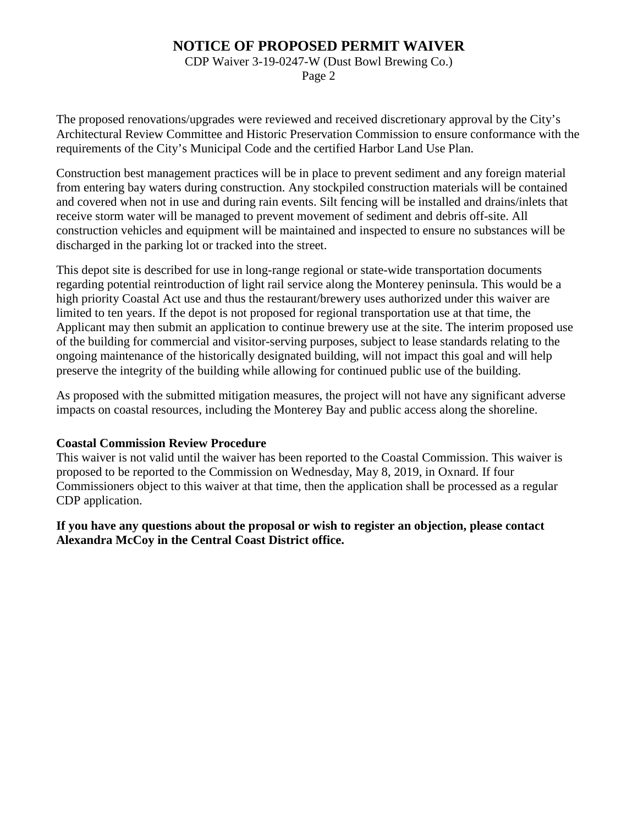## **NOTICE OF PROPOSED PERMIT WAIVER**

CDP Waiver 3-19-0247-W (Dust Bowl Brewing Co.)

Page 2

The proposed renovations/upgrades were reviewed and received discretionary approval by the City's Architectural Review Committee and Historic Preservation Commission to ensure conformance with the requirements of the City's Municipal Code and the certified Harbor Land Use Plan.

Construction best management practices will be in place to prevent sediment and any foreign material from entering bay waters during construction. Any stockpiled construction materials will be contained and covered when not in use and during rain events. Silt fencing will be installed and drains/inlets that receive storm water will be managed to prevent movement of sediment and debris off-site. All construction vehicles and equipment will be maintained and inspected to ensure no substances will be discharged in the parking lot or tracked into the street.

This depot site is described for use in long-range regional or state-wide transportation documents regarding potential reintroduction of light rail service along the Monterey peninsula. This would be a high priority Coastal Act use and thus the restaurant/brewery uses authorized under this waiver are limited to ten years. If the depot is not proposed for regional transportation use at that time, the Applicant may then submit an application to continue brewery use at the site. The interim proposed use of the building for commercial and visitor-serving purposes, subject to lease standards relating to the ongoing maintenance of the historically designated building, will not impact this goal and will help preserve the integrity of the building while allowing for continued public use of the building.

As proposed with the submitted mitigation measures, the project will not have any significant adverse impacts on coastal resources, including the Monterey Bay and public access along the shoreline.

#### **Coastal Commission Review Procedure**

This waiver is not valid until the waiver has been reported to the Coastal Commission. This waiver is proposed to be reported to the Commission on Wednesday, May 8, 2019, in Oxnard. If four Commissioners object to this waiver at that time, then the application shall be processed as a regular CDP application.

#### **If you have any questions about the proposal or wish to register an objection, please contact Alexandra McCoy in the Central Coast District office.**